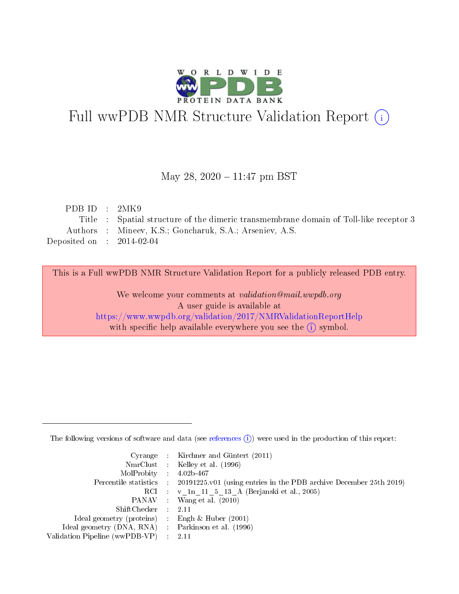

# Full wwPDB NMR Structure Validation Report (i)

### May 28, 2020 - 11:47 pm BST

| PDB ID : $2MK9$             |                                                                                       |
|-----------------------------|---------------------------------------------------------------------------------------|
|                             | Title : Spatial structure of the dimeric transmembrane domain of Toll-like receptor 3 |
|                             | Authors : Mineev, K.S.; Goncharuk, S.A.; Arseniev, A.S.                               |
| Deposited on : $2014-02-04$ |                                                                                       |
|                             |                                                                                       |

This is a Full wwPDB NMR Structure Validation Report for a publicly released PDB entry.

We welcome your comments at *validation@mail.wwpdb.org* A user guide is available at <https://www.wwpdb.org/validation/2017/NMRValidationReportHelp> with specific help available everywhere you see the  $(i)$  symbol.

The following versions of software and data (see [references](https://www.wwpdb.org/validation/2017/NMRValidationReportHelp#references)  $(1)$ ) were used in the production of this report:

|                                                     | Cyrange : Kirchner and Güntert $(2011)$                                                    |
|-----------------------------------------------------|--------------------------------------------------------------------------------------------|
|                                                     | NmrClust : Kelley et al. (1996)                                                            |
| $MolProbability$ 4.02b-467                          |                                                                                            |
|                                                     | Percentile statistics : 20191225.v01 (using entries in the PDB archive December 25th 2019) |
|                                                     | RCI : v 1n 11 5 13 A (Berjanski et al., 2005)                                              |
|                                                     | PANAV Wang et al. (2010)                                                                   |
| $ShiftChecker$ 2.11                                 |                                                                                            |
| Ideal geometry (proteins) : Engh $\&$ Huber (2001)  |                                                                                            |
| Ideal geometry (DNA, RNA) : Parkinson et al. (1996) |                                                                                            |
| Validation Pipeline (wwPDB-VP)                      | $\sim 2.11$                                                                                |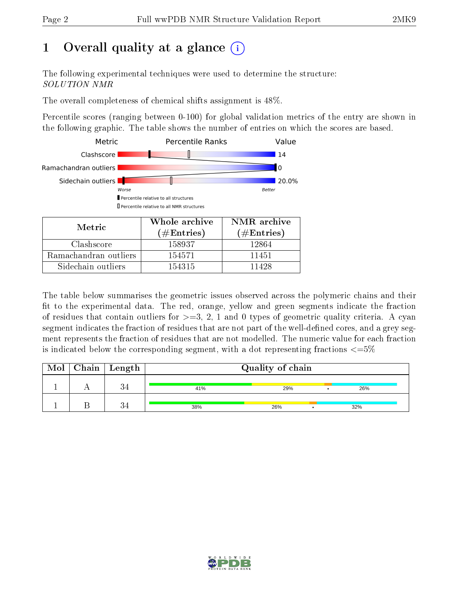# 1 [O](https://www.wwpdb.org/validation/2017/NMRValidationReportHelp#overall_quality)verall quality at a glance (i)

The following experimental techniques were used to determine the structure: SOLUTION NMR

The overall completeness of chemical shifts assignment is 48%.

Percentile scores (ranging between 0-100) for global validation metrics of the entry are shown in the following graphic. The table shows the number of entries on which the scores are based.



The table below summarises the geometric issues observed across the polymeric chains and their fit to the experimental data. The red, orange, yellow and green segments indicate the fraction of residues that contain outliers for  $>=3, 2, 1$  and 0 types of geometric quality criteria. A cyan segment indicates the fraction of residues that are not part of the well-defined cores, and a grey segment represents the fraction of residues that are not modelled. The numeric value for each fraction is indicated below the corresponding segment, with a dot representing fractions  $\epsilon = 5\%$ 

| Mol | $\mid$ Chain $\mid$ Length | Quality of chain |     |  |     |  |
|-----|----------------------------|------------------|-----|--|-----|--|
|     | ີ.                         | 41%              | 29% |  | 26% |  |
|     |                            | 38%              | 26% |  | 32% |  |

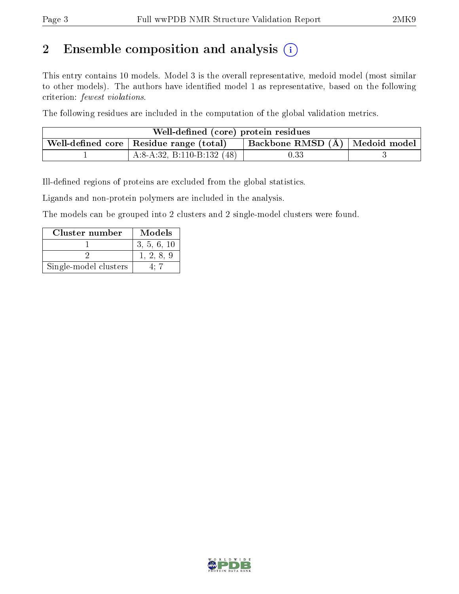# 2 Ensemble composition and analysis  $(i)$

This entry contains 10 models. Model 3 is the overall representative, medoid model (most similar to other models). The authors have identified model 1 as representative, based on the following criterion: fewest violations.

The following residues are included in the computation of the global validation metrics.

| Well-defined (core) protein residues |                                                                                 |      |  |  |  |
|--------------------------------------|---------------------------------------------------------------------------------|------|--|--|--|
|                                      | Backbone RMSD (Å)   Medoid model  <br>Well-defined core   Residue range (total) |      |  |  |  |
|                                      | A:8-A:32, B:110-B:132 $(48)$                                                    | 0.33 |  |  |  |

Ill-defined regions of proteins are excluded from the global statistics.

Ligands and non-protein polymers are included in the analysis.

The models can be grouped into 2 clusters and 2 single-model clusters were found.

| Cluster number        | Models      |
|-----------------------|-------------|
|                       | 3, 5, 6, 10 |
|                       | 1, 2, 8, 9  |
| Single-model clusters |             |

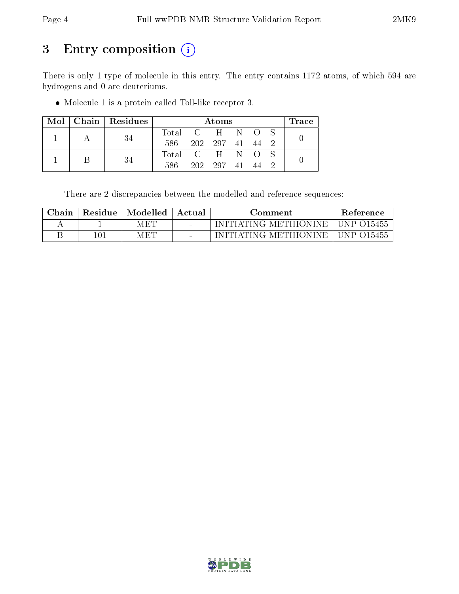# 3 Entry composition (i)

There is only 1 type of molecule in this entry. The entry contains 1172 atoms, of which 594 are hydrogens and 0 are deuteriums.

Molecule 1 is a protein called Toll-like receptor 3.

|  |  | $\text{Mol}$   Chain   Residues | Atoms           |                 |            |  | $\operatorname{Trace}\nolimits$ |  |  |
|--|--|---------------------------------|-----------------|-----------------|------------|--|---------------------------------|--|--|
|  |  |                                 | Total C H N O S |                 |            |  |                                 |  |  |
|  |  | 586 -                           |                 | 202 297 41 44 2 |            |  |                                 |  |  |
|  |  |                                 | Total C H N O S |                 |            |  |                                 |  |  |
|  |  |                                 | 586.            |                 | 202 297 41 |  | 44                              |  |  |

There are 2 discrepancies between the modelled and reference sequences:

| $\operatorname{\mathbb{C}}$ hain | Residue | Modelled | Actual                   | Comment                 | Reference    |
|----------------------------------|---------|----------|--------------------------|-------------------------|--------------|
|                                  |         | MET      | $\sim$                   | INITIATING METHIONINE – | UNP 015455   |
|                                  | 101     | MET      | $\overline{\phantom{a}}$ | INITIATING METHIONINE   | UNP $O15455$ |

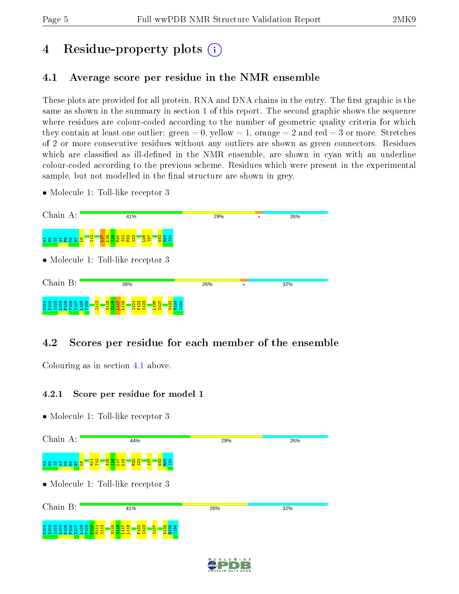# 4 Residue-property plots  $\binom{1}{1}$

## <span id="page-4-0"></span>4.1 Average score per residue in the NMR ensemble

These plots are provided for all protein, RNA and DNA chains in the entry. The first graphic is the same as shown in the summary in section 1 of this report. The second graphic shows the sequence where residues are colour-coded according to the number of geometric quality criteria for which they contain at least one outlier: green  $= 0$ , yellow  $= 1$ , orange  $= 2$  and red  $= 3$  or more. Stretches of 2 or more consecutive residues without any outliers are shown as green connectors. Residues which are classified as ill-defined in the NMR ensemble, are shown in cyan with an underline colour-coded according to the previous scheme. Residues which were present in the experimental sample, but not modelled in the final structure are shown in grey.

• Molecule 1: Toll-like receptor 3



### 4.2 Scores per residue for each member of the ensemble

Colouring as in section [4.1](#page-4-0) above.

### 4.2.1 Score per residue for model 1



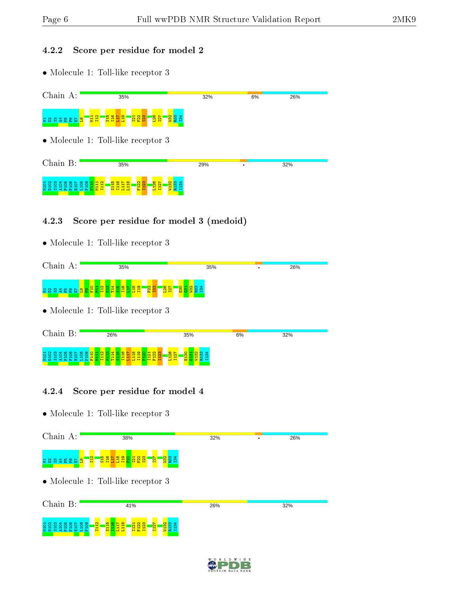### 4.2.2 Score per residue for model 2

• Molecule 1: Toll-like receptor 3



### 4.2.3 Score per residue for model 3 (medoid)

• Molecule 1: Toll-like receptor 3

| Chain A:                   | 35%                                                                                                                                                             | 35%                                                    |    | 26% |
|----------------------------|-----------------------------------------------------------------------------------------------------------------------------------------------------------------|--------------------------------------------------------|----|-----|
|                            | <u>ទននទនេសទ<mark>ន</mark>ខ្សី</u> ដូង្គី ដូង្គី ដូន្ទី ដូ<br>$\frac{1}{2}$ $\frac{1}{2}$                                                                        | <mark>ន្ត្រី ន</mark> ្ទី ន្ត្រី ដ<br>$\frac{127}{22}$ |    |     |
|                            | • Molecule 1: Toll-like receptor $3$                                                                                                                            |                                                        |    |     |
| Chain B:                   | 26%                                                                                                                                                             | 35%                                                    | 6% | 32% |
| ē<br>ë<br>ఠ<br>ğ<br>ĕ<br>õ | 1116<br>$\frac{12}{2}$<br>$\overline{114}$<br>119<br><mark>ង</mark> ឌ<br>$\frac{2}{121}$<br>$\frac{1}{110}$<br>118<br>$\frac{115}{115}$<br>$\frac{8}{2}$<br>rn. | 1126<br>1127<br>$\frac{8}{130}$                        |    |     |

### 4.2.4 Score per residue for model 4



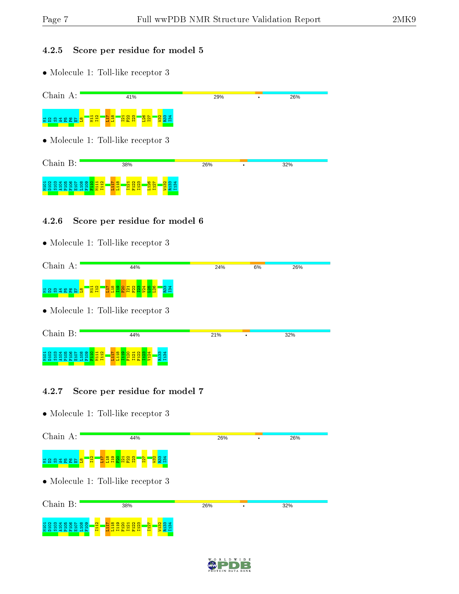### 4.2.5 Score per residue for model 5

• Molecule 1: Toll-like receptor 3

| Chain A:                              | 41%                                                                                                      | 29% | ٠ | 26% |  |  |  |
|---------------------------------------|----------------------------------------------------------------------------------------------------------|-----|---|-----|--|--|--|
| <mark>ឌី ៨ ឌ ឌ</mark><br>Æ,<br>ട<br>릏 | 불월<br>E 11<br>$\frac{127}{127}$<br>R33<br>134<br>$\frac{82}{123}$<br>$\overline{21}$<br>$\frac{32}{2}$   |     |   |     |  |  |  |
|                                       | • Molecule 1: Toll-like receptor 3                                                                       |     |   |     |  |  |  |
| Chain B:                              | 38%                                                                                                      | 26% | ٠ | 32% |  |  |  |
|                                       | $\infty$<br>L126<br>I127<br>122<br>123<br>ᆔ<br>o<br><mark>ដូង្គី អ្</mark> នី<br>Ē<br>Ē<br>œ<br><b>H</b> |     |   |     |  |  |  |

### 4.2.6 Score per residue for model 6

• Molecule 1: Toll-like receptor 3

| Chain A:                       | 44%                                                                                   | 24% | 6% | 26% |  |
|--------------------------------|---------------------------------------------------------------------------------------|-----|----|-----|--|
| E 8 3 3 8 8 9 6 <mark>8</mark> | <mark>ិង ឌី ឌី នី នី នី នី នី នី នី</mark><br><b>83</b><br>134<br>' <mark>불월</mark> ' |     |    |     |  |
|                                | $\bullet$ Molecule 1: Toll-like receptor 3                                            |     |    |     |  |
| Chain B:                       | 44%                                                                                   | 21% |    | 32% |  |
|                                | $\frac{33}{134}$                                                                      |     |    |     |  |

### 4.2.7 Score per residue for model 7

| Chain A:         | 44%                                                                                                         | 26% | 26% |
|------------------|-------------------------------------------------------------------------------------------------------------|-----|-----|
| <b>REBSTERES</b> | <mark>ម្លងនូង</mark><br><mark>្ទ</mark> ្រខ្លី ដឹ<br>$\frac{2}{11}$<br>$\frac{22}{123}$<br>$\overline{127}$ |     |     |
|                  | • Molecule 1: Toll-like receptor 3                                                                          |     |     |
| Chain B:         | 38%                                                                                                         | 26% | 32% |
| 8<br>ജ<br>Ā      | 흼<br>೫<br>ন<br>븝<br>Ε<br>븝<br>분급<br>B.                                                                      |     |     |

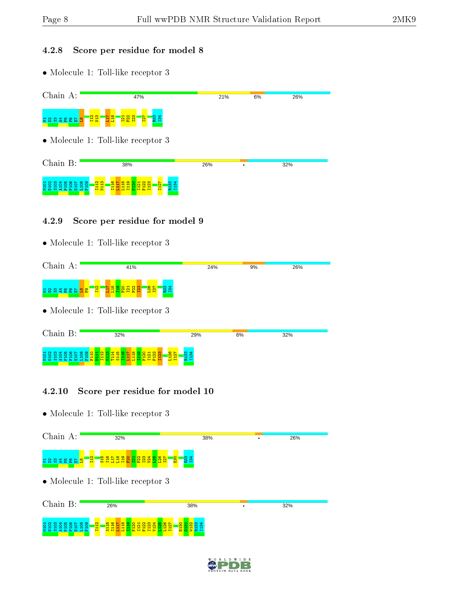### 4.2.8 Score per residue for model 8

• Molecule 1: Toll-like receptor 3

| Chain A:            | 47%                                                                                                                                                                                                 | 21% | 6% | 26% |
|---------------------|-----------------------------------------------------------------------------------------------------------------------------------------------------------------------------------------------------|-----|----|-----|
| <b>Baass</b><br>불 음 | <mark>'옆엺'</mark><br>R33<br>134<br><mark>百合</mark><br><mark>ដូ និ និ</mark><br><u>ist</u>                                                                                                           |     |    |     |
|                     | • Molecule 1: Toll-like receptor 3                                                                                                                                                                  |     |    |     |
| Chain B:            | 38%                                                                                                                                                                                                 | 26% |    | 32% |
|                     | I112<br>N113<br>m<br>ô<br>$\mathbf{\Omega}$<br>ਚ<br>Ē<br>ന.<br>o<br>$\overline{\mathbf{c}}$<br>Ē<br>S<br>m<br>Ē<br>묩<br>$\blacksquare$<br>$\blacksquare$<br>$\mathbf{r}$<br>н<br><b>Dollar</b><br>œ |     |    |     |

### 4.2.9 Score per residue for model 9

• Molecule 1: Toll-like receptor 3

| Chain A:             | 41%                                                                     | 24%                               | 9% | 26% |  |  |  |
|----------------------|-------------------------------------------------------------------------|-----------------------------------|----|-----|--|--|--|
|                      | <mark>ិក្ខ ទី ទី នី នី នី</mark> នី<br>$\frac{1}{2}$<br>$\frac{2}{112}$ | <b>23</b><br>23                   |    |     |  |  |  |
|                      | $\bullet$ Molecule 1: Toll-like receptor 3                              |                                   |    |     |  |  |  |
| Chain B:             | 32%                                                                     | 29%                               | 6% | 32% |  |  |  |
| ိ<br>M101<br>$\circ$ | ٩<br>Ë<br>н<br>z<br><b>FO</b>                                           | $\frac{127}{1127}$<br>ന<br>m<br>æ |    |     |  |  |  |

### 4.2.10 Score per residue for model 10



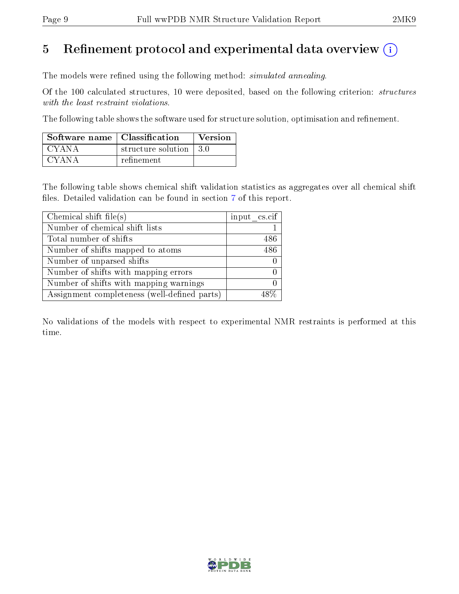## 5 Refinement protocol and experimental data overview  $\binom{1}{k}$

The models were refined using the following method: *simulated annealing*.

Of the 100 calculated structures, 10 were deposited, based on the following criterion: structures with the least restraint violations.

The following table shows the software used for structure solution, optimisation and refinement.

| Software name   Classification |                         | Version |
|--------------------------------|-------------------------|---------|
| CYANA                          | structure solution 13.0 |         |
| CYANA                          | refinement              |         |

The following table shows chemical shift validation statistics as aggregates over all chemical shift files. Detailed validation can be found in section [7](#page-13-0) of this report.

| Chemical shift file(s)                       | input cs.cif |
|----------------------------------------------|--------------|
| Number of chemical shift lists               |              |
| Total number of shifts                       | 486          |
| Number of shifts mapped to atoms             | 486-         |
| Number of unparsed shifts                    |              |
| Number of shifts with mapping errors         |              |
| Number of shifts with mapping warnings       |              |
| Assignment completeness (well-defined parts) |              |

No validations of the models with respect to experimental NMR restraints is performed at this time.

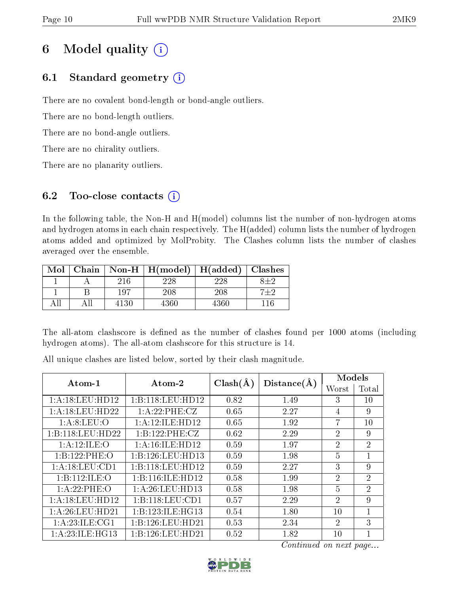# 6 Model quality  $(i)$

## 6.1 Standard geometry  $(i)$

There are no covalent bond-length or bond-angle outliers.

There are no bond-length outliers.

There are no bond-angle outliers.

There are no chirality outliers.

There are no planarity outliers.

## 6.2 Too-close contacts  $(i)$

In the following table, the Non-H and H(model) columns list the number of non-hydrogen atoms and hydrogen atoms in each chain respectively. The H(added) column lists the number of hydrogen atoms added and optimized by MolProbity. The Clashes column lists the number of clashes averaged over the ensemble.

| Mol |      | Chain   Non-H   $H (model)$ | H(added)   Classhes |         |
|-----|------|-----------------------------|---------------------|---------|
|     | 216  | 228                         | 228                 |         |
|     | 197  | 208                         | 208                 | $7 + 2$ |
|     | 4130 | 4360                        | 4360                |         |

The all-atom clashscore is defined as the number of clashes found per 1000 atoms (including hydrogen atoms). The all-atom clashscore for this structure is 14.

All unique clashes are listed below, sorted by their clash magnitude.

| $Atom-1$           | Atom-2              | $Clash(\AA)$ | Distance(A) | Models         |                |
|--------------------|---------------------|--------------|-------------|----------------|----------------|
|                    |                     |              |             | Worst          | 'Total         |
| 1:A:18:LEU:HD12    | 1:B:118:LEU:HD12    | 0.82         | 1.49        | 3              | 10             |
| 1: A:18:LEU:HD22   | 1:A:22:PHE:CZ       | 0.65         | 2.27        | 4              | 9              |
| 1: A:8: LEU:O      | 1: A:12: ILE: HD12  | 0.65         | 1.92        | 7              | 10             |
| 1:B:118:LEU:HD22   | 1:B:122:PHE:CZ      | 0.62         | 2.29        | $\overline{2}$ | 9              |
| 1:A:12:ILE:O       | 1: A:16: ILE: HD12  | 0.59         | 1.97        | $\overline{2}$ | $\overline{2}$ |
| 1:B:122:PHE:O      | 1:B:126:LEU:HD13    | 0.59         | 1.98        | $\overline{5}$ | $\mathbf{1}$   |
| 1:A:18:LEU:CD1     | 1:B:118:LEU:HD12    | 0.59         | 2.27        | 3              | 9              |
| 1:B:112:ILE:O      | 1:B:116:ILE:HD12    | 0.58         | 1.99        | $\overline{2}$ | $\overline{2}$ |
| 1: A:22:PHE:O      | 1: A:26:LEU:HD13    | 0.58         | 1.98        | 5              | $\overline{2}$ |
| 1: A:18: LEU: HD12 | 1: B: 118: LEU: CD1 | 0.57         | 2.29        | $\overline{2}$ | 9              |
| 1: A:26:LEU:HD21   | 1:B:123:ILE:HG13    | 0.54         | 1.80        | 10             | 1              |
| 1: A:23: ILE: CG1  | 1:B:126:LEU:HD21    | 0.53         | 2.34        | $\overline{2}$ | 3              |
| 1:A:23:ILE:HG13    | 1:B:126:LEU:HD21    | 0.52         | 1.82        | 10             |                |

Continued on next page...

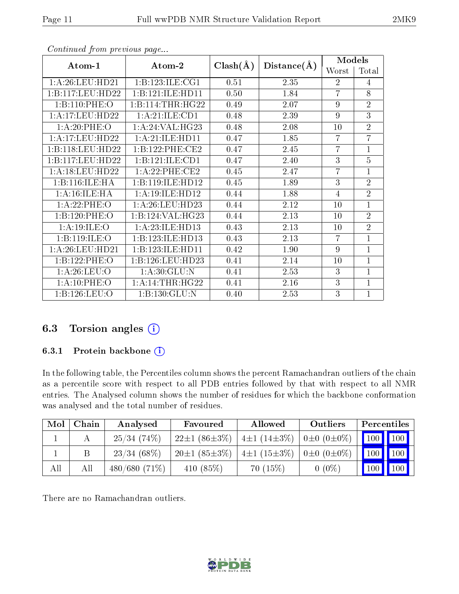| Atom-1             | $\boldsymbol{\mathrm{Atom}\text{-}2}$ | $Clash(\AA)$ | Distance(A) | <b>Models</b>  |                |
|--------------------|---------------------------------------|--------------|-------------|----------------|----------------|
|                    |                                       |              |             | Worst          | Total          |
| 1: A:26:LEU:HD21   | 1:B:123:ILE:CG1                       | 0.51         | 2.35        | $\overline{2}$ | 4              |
| 1:B:117:LEU:HD22   | 1:B:121:ILE:HD11                      | 0.50         | 1.84        | $\overline{7}$ | 8              |
| 1:B:110:PHE:O      | 1:B:114:THR:HG22                      | 0.49         | 2.07        | 9              | $\overline{2}$ |
| 1:A:17:LEU:HD22    | 1:A:21:ILE:CD1                        | 0.48         | 2.39        | $\overline{9}$ | $\overline{3}$ |
| 1: A:20:PHE:O      | 1:A:24:VAL:HG23                       | 0.48         | 2.08        | 10             | $\overline{2}$ |
| 1:A:17:LEU:HD22    | 1: A:21: ILE: HDI1                    | 0.47         | 1.85        | $\overline{7}$ | $\overline{7}$ |
| 1:B:118:LEU:HD22   | 1:B:122:PHE:CE2                       | 0.47         | 2.45        | $\overline{7}$ | $\overline{1}$ |
| 1:B:117:LEU:HD22   | 1:B:121:ILE:CD1                       | 0.47         | 2.40        | 3              | $\overline{5}$ |
| 1: A:18: LEU: HD22 | 1:A:22:PHE:CE2                        | 0.45         | 2.47        | $\overline{7}$ | $\overline{1}$ |
| 1:B:116:ILE:HA     | 1:B:119:ILE:HD12                      | 0.45         | 1.89        | 3              | $\overline{2}$ |
| 1:A:16:ILE:HA      | 1: A:19: ILE: HD12                    | 0.44         | 1.88        | 4              | $\overline{2}$ |
| 1: A:22:PHE:O      | 1: A:26:LEU:HD23                      | 0.44         | 2.12        | 10             | $\overline{1}$ |
| 1:B:120:PHE:O      | 1:B:124:VAL:HG23                      | 0.44         | 2.13        | 10             | $\overline{2}$ |
| 1:A:19:ILE:O       | 1: A:23: ILE: HD13                    | 0.43         | 2.13        | 10             | $\overline{2}$ |
| 1:B:119:ILE:O      | 1:B:123:ILE:HD13                      | 0.43         | 2.13        | $\overline{7}$ | $\overline{1}$ |
| 1:A:26:LEU:HD21    | 1:B:123:ILE:HD11                      | 0.42         | 1.90        | 9              | $\mathbf{1}$   |
| 1:B:122:PHE:O      | 1:B:126:LEU:HD23                      | 0.41         | 2.14        | 10             | $\mathbf{1}$   |
| 1: A:26:LEU:O      | 1: A:30: GLU: N                       | 0.41         | 2.53        | 3              | $\overline{1}$ |
| 1: A:10: PHE:O     | 1: A:14:THR:HG22                      | 0.41         | 2.16        | 3              | $\mathbf{1}$   |
| 1:B:126:LEU:O      | 1:B:130:GLU:N                         | 0.40         | 2.53        | 3              | $\overline{1}$ |

Continued from previous page...

## 6.3 Torsion angles (i)

### 6.3.1 Protein backbone (i)

In the following table, the Percentiles column shows the percent Ramachandran outliers of the chain as a percentile score with respect to all PDB entries followed by that with respect to all NMR entries. The Analysed column shows the number of residues for which the backbone conformation was analysed and the total number of residues.

| Mol | Chain | Analysed        | Favoured           | <b>Allowed</b>    | Outliers                | Percentiles   |     |
|-----|-------|-----------------|--------------------|-------------------|-------------------------|---------------|-----|
|     |       | 25/34(74%)      | $22\pm1(86\pm3\%)$ | $4\pm1(14\pm3\%)$ | $0 \pm 0$ $(0 \pm 0\%)$ | 100 100       |     |
|     |       | $23/34(68\%)$   | $20\pm1(85\pm3\%)$ | $4\pm1(15\pm3\%)$ | $0\pm 0$ $(0\pm 0\%)$   | $100$   $100$ |     |
| All | Αll   | $480/680(71\%)$ | 410 $(85%)$        | 70(15%)           | $0(0\%)$                | 100           | 100 |

There are no Ramachandran outliers.

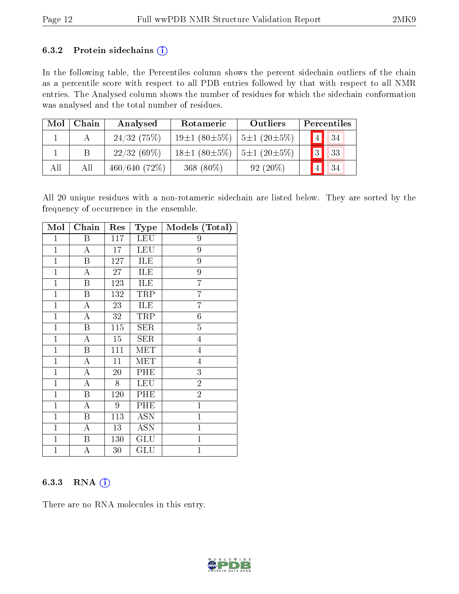#### 6.3.2 Protein sidechains  $(i)$

In the following table, the Percentiles column shows the percent sidechain outliers of the chain as a percentile score with respect to all PDB entries followed by that with respect to all NMR entries. The Analysed column shows the number of residues for which the sidechain conformation was analysed and the total number of residues.

| Mol | Chain | Analysed     | Rotameric                               | Outliers   |                | Percentiles |
|-----|-------|--------------|-----------------------------------------|------------|----------------|-------------|
|     |       | 24/32(75%)   | $19\pm1(80\pm5\%)$   $5\pm1(20\pm5\%)$  |            |                | 34          |
|     | В     | 22/32(69%)   | $18\pm1(80\pm5\%)$   5 $\pm1(20\pm5\%)$ |            | $\overline{3}$ | 33          |
| All | All   | 460/640(72%) | 368 (80%)                               | $92(20\%)$ |                | 34          |

All 20 unique residues with a non-rotameric sidechain are listed below. They are sorted by the frequency of occurrence in the ensemble.

| Mol          | Chain                   | Res | <b>Type</b>             | Models (Total) |
|--------------|-------------------------|-----|-------------------------|----------------|
| $\mathbf{1}$ | $\boldsymbol{B}$        | 117 | <b>LEU</b>              | 9              |
| $\mathbf{1}$ | A                       | 17  | LEU                     | 9              |
| $\mathbf{1}$ | B                       | 127 | ILE                     | 9              |
| $\mathbf{1}$ | $\boldsymbol{A}$        | 27  | ILE                     | 9              |
| $\mathbf{1}$ | $\overline{\mathrm{B}}$ | 123 | ILE                     | $\overline{7}$ |
| $\mathbf{1}$ | $\boldsymbol{B}$        | 132 | TRP                     | $\overline{7}$ |
| $\mathbf{1}$ | A                       | 23  | ILE                     | 7              |
| $\mathbf{1}$ | $\mathbf{A}$            | 32  | TRP                     | $\overline{6}$ |
| $\mathbf{1}$ | B                       | 115 | <b>SER</b>              | $\overline{5}$ |
| $\mathbf{1}$ | A                       | 15  | <b>SER</b>              | $\overline{4}$ |
| $\mathbf{1}$ | $\boldsymbol{B}$        | 111 | MET                     | $\overline{4}$ |
| $\mathbf{1}$ | $\overline{\rm A}$      | 11  | $\overline{\text{MET}}$ | $\overline{4}$ |
| $\mathbf{1}$ | A                       | 20  | PHE                     | 3              |
| $\mathbf{1}$ | $\overline{\rm A}$      | 8   | <b>LEU</b>              | $\overline{2}$ |
| $\mathbf{1}$ | $\boldsymbol{B}$        | 120 | PHE                     | $\overline{2}$ |
| $\mathbf{1}$ | А                       | 9   | PHE                     | $\mathbf{1}$   |
| $\mathbf{1}$ | $\overline{\mathrm{B}}$ | 113 | <b>ASN</b>              | $\overline{1}$ |
| $\mathbf{1}$ | A                       | 13  | <b>ASN</b>              | $\mathbf{1}$   |
| $\mathbf{1}$ | $\boldsymbol{B}$        | 130 | GLU                     | $\mathbf{1}$   |
| $\mathbf{1}$ | А                       | 30  | $\operatorname{GLU}$    | $\mathbf 1$    |

### 6.3.3 RNA (i)

There are no RNA molecules in this entry.

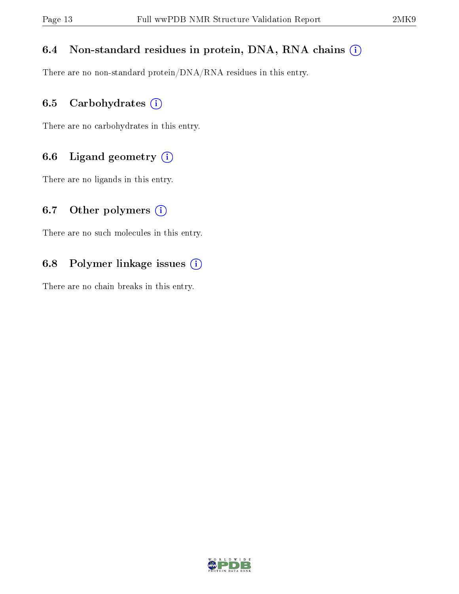### 6.4 Non-standard residues in protein, DNA, RNA chains (i)

There are no non-standard protein/DNA/RNA residues in this entry.

### 6.5 Carbohydrates  $(i)$

There are no carbohydrates in this entry.

### 6.6 Ligand geometry  $(i)$

There are no ligands in this entry.

### 6.7 [O](https://www.wwpdb.org/validation/2017/NMRValidationReportHelp#nonstandard_residues_and_ligands)ther polymers  $(i)$

There are no such molecules in this entry.

### 6.8 Polymer linkage issues  $(i)$

There are no chain breaks in this entry.

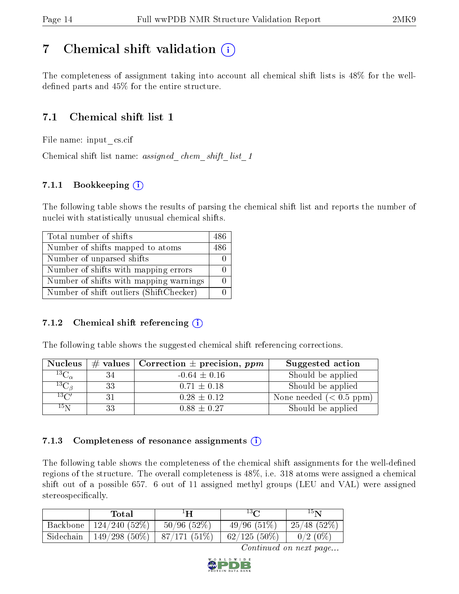## <span id="page-13-0"></span>7 Chemical shift validation  $\left( \begin{array}{c} \overline{1} \end{array} \right)$

The completeness of assignment taking into account all chemical shift lists is 48% for the welldefined parts and  $45\%$  for the entire structure.

## 7.1 Chemical shift list 1

File name: input\_cs.cif

Chemical shift list name: assigned chem shift list 1

### 7.1.1 Bookkeeping (i)

The following table shows the results of parsing the chemical shift list and reports the number of nuclei with statistically unusual chemical shifts.

| Total number of shifts                  | 486 |
|-----------------------------------------|-----|
| Number of shifts mapped to atoms        | 486 |
| Number of unparsed shifts               |     |
| Number of shifts with mapping errors    |     |
| Number of shifts with mapping warnings  |     |
| Number of shift outliers (ShiftChecker) |     |

### 7.1.2 Chemical shift referencing  $(i)$

The following table shows the suggested chemical shift referencing corrections.

| <b>Nucleus</b>     |    | $\#$ values   Correction $\pm$ precision, ppm | Suggested action        |
|--------------------|----|-----------------------------------------------|-------------------------|
| $^{13}C_{\alpha}$  | 34 | $-0.64 \pm 0.16$                              | Should be applied       |
| ${}^{13}C_{\beta}$ | 33 | $0.71 \pm 0.18$                               | Should be applied       |
| $13\text{C}$       | 31 | $0.28 \pm 0.12$                               | None needed $(0.5 ppm)$ |
| $15\,\mathrm{N}$   | 33 | $0.88 \pm 0.27$                               | Should be applied       |

### 7.1.3 Completeness of resonance assignments  $(i)$

The following table shows the completeness of the chemical shift assignments for the well-defined regions of the structure. The overall completeness is 48%, i.e. 318 atoms were assigned a chemical shift out of a possible 657. 6 out of 11 assigned methyl groups (LEU and VAL) were assigned stereospecifically.

|           | Total                            | $1\mathbf{H}$    | $13\Omega$     | $15\mathbf{N}$ |
|-----------|----------------------------------|------------------|----------------|----------------|
| Backbone  | 124/240(52%)                     | $50/96$ $(52\%)$ | 49/96(51%)     | $-25/48(52%)$  |
| Sidechain | $149/298$ (50\%)   87/171 (51\%) |                  | $62/125(50\%)$ | $0/2(0\%)$     |

Continued on next page...